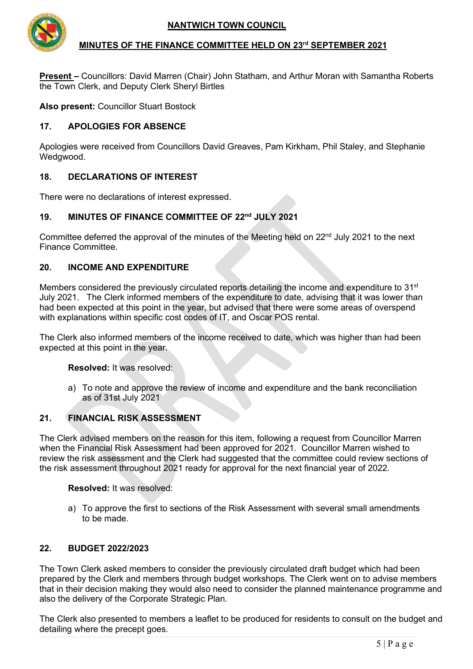

## **MINUTES OF THE FINANCE COMMITTEE HELD ON 23rd SEPTEMBER 2021**

**Present –** Councillors: David Marren (Chair) John Statham, and Arthur Moran with Samantha Roberts the Town Clerk, and Deputy Clerk Sheryl Birtles

**Also present:** Councillor Stuart Bostock

## **17. APOLOGIES FOR ABSENCE**

Apologies were received from Councillors David Greaves, Pam Kirkham, Phil Staley, and Stephanie Wedgwood.

## **18. DECLARATIONS OF INTEREST**

There were no declarations of interest expressed.

## **19. MINUTES OF FINANCE COMMITTEE OF 22nd JULY 2021**

Committee deferred the approval of the minutes of the Meeting held on  $22<sup>nd</sup>$  July 2021 to the next Finance Committee.

#### **20. INCOME AND EXPENDITURE**

Members considered the previously circulated reports detailing the income and expenditure to  $31<sup>st</sup>$ July 2021. The Clerk informed members of the expenditure to date, advising that it was lower than had been expected at this point in the year, but advised that there were some areas of overspend with explanations within specific cost codes of IT, and Oscar POS rental.

The Clerk also informed members of the income received to date, which was higher than had been expected at this point in the year.

**Resolved:** It was resolved:

a) To note and approve the review of income and expenditure and the bank reconciliation as of 31st July 2021

## **21. FINANCIAL RISK ASSESSMENT**

The Clerk advised members on the reason for this item, following a request from Councillor Marren when the Financial Risk Assessment had been approved for 2021. Councillor Marren wished to review the risk assessment and the Clerk had suggested that the committee could review sections of the risk assessment throughout 2021 ready for approval for the next financial year of 2022.

**Resolved:** It was resolved:

a) To approve the first to sections of the Risk Assessment with several small amendments to be made.

#### **22. BUDGET 2022/2023**

The Town Clerk asked members to consider the previously circulated draft budget which had been prepared by the Clerk and members through budget workshops. The Clerk went on to advise members that in their decision making they would also need to consider the planned maintenance programme and also the delivery of the Corporate Strategic Plan.

The Clerk also presented to members a leaflet to be produced for residents to consult on the budget and detailing where the precept goes.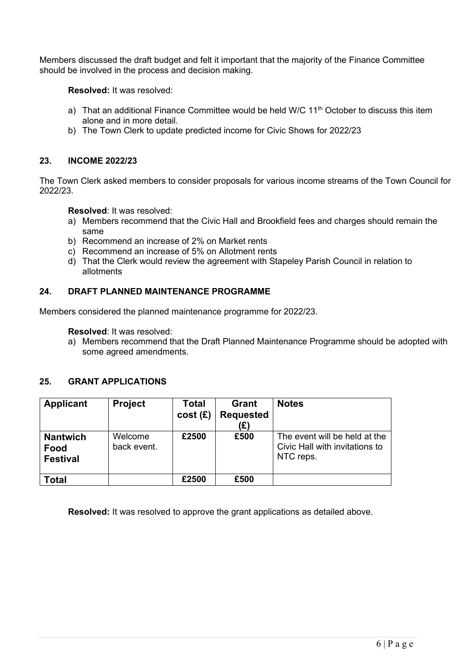Members discussed the draft budget and felt it important that the majority of the Finance Committee should be involved in the process and decision making.

**Resolved:** It was resolved:

- a) That an additional Finance Committee would be held W/C  $11<sup>th</sup>$  October to discuss this item alone and in more detail.
- b) The Town Clerk to update predicted income for Civic Shows for 2022/23

## **23. INCOME 2022/23**

The Town Clerk asked members to consider proposals for various income streams of the Town Council for 2022/23.

**Resolved**: It was resolved:

- a) Members recommend that the Civic Hall and Brookfield fees and charges should remain the same
- b) Recommend an increase of 2% on Market rents
- c) Recommend an increase of 5% on Allotment rents
- d) That the Clerk would review the agreement with Stapeley Parish Council in relation to allotments

## **24. DRAFT PLANNED MAINTENANCE PROGRAMME**

Members considered the planned maintenance programme for 2022/23.

**Resolved**: It was resolved:

a) Members recommend that the Draft Planned Maintenance Programme should be adopted with some agreed amendments.

#### **25. GRANT APPLICATIONS**

| Applicant                                  | <b>Project</b>         | <b>Total</b><br>cost(E) | <b>Grant</b><br><b>Requested</b><br>(£) | <b>Notes</b>                                                                 |
|--------------------------------------------|------------------------|-------------------------|-----------------------------------------|------------------------------------------------------------------------------|
| <b>Nantwich</b><br>Food<br><b>Festival</b> | Welcome<br>back event. | £2500                   | £500                                    | The event will be held at the<br>Civic Hall with invitations to<br>NTC reps. |
| <b>Total</b>                               |                        | £2500                   | £500                                    |                                                                              |

**Resolved:** It was resolved to approve the grant applications as detailed above.